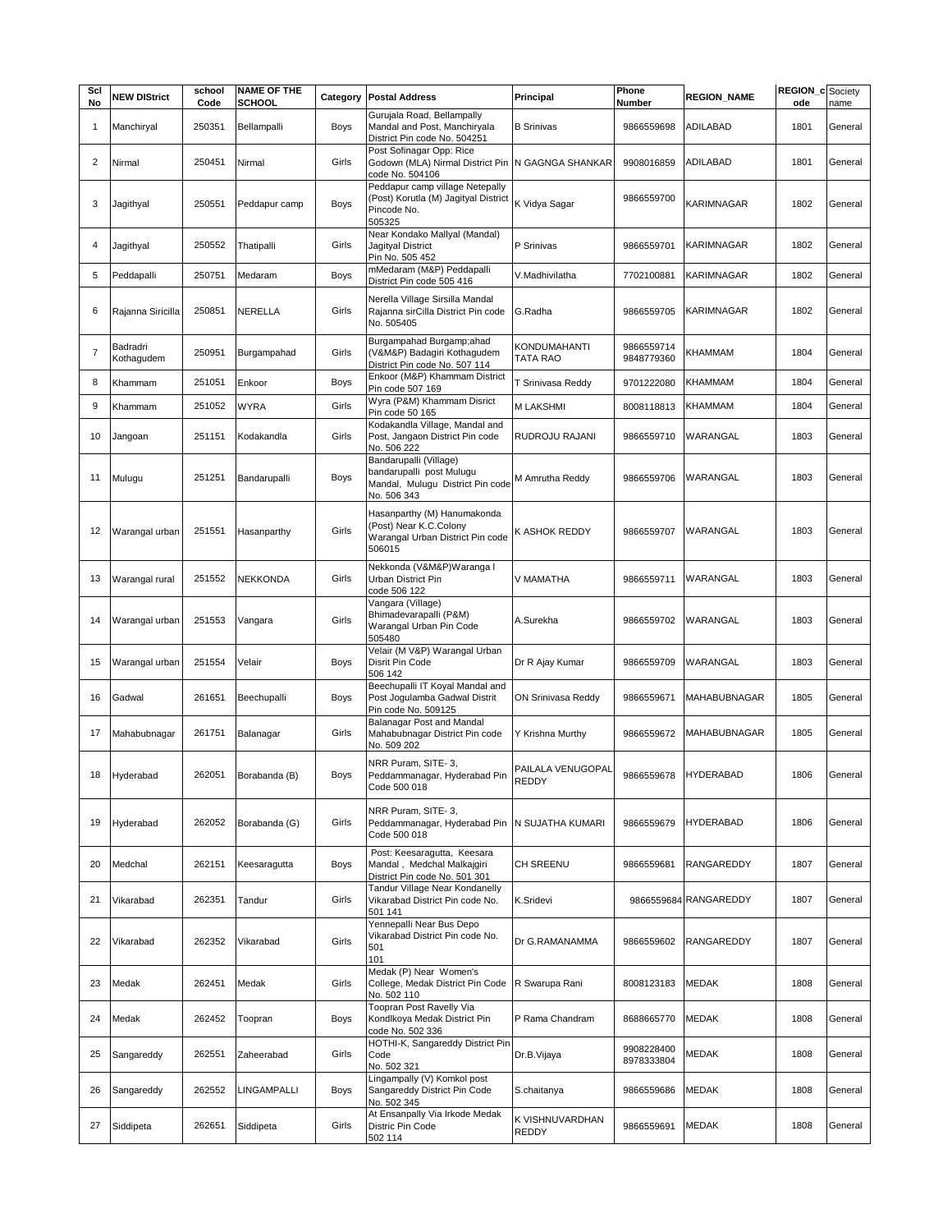| Scl<br>No      | <b>NEW DIStrict</b>    | school<br>Code | <b>NAME OF THE</b><br>SCHOOL | Category    | <b>Postal Address</b>                                                                                           | Principal                       | Phone<br>Number          | <b>REGION_NAME</b>    | <b>REGION_c</b> Society<br>ode | name    |
|----------------|------------------------|----------------|------------------------------|-------------|-----------------------------------------------------------------------------------------------------------------|---------------------------------|--------------------------|-----------------------|--------------------------------|---------|
| $\mathbf{1}$   | Manchiryal             | 250351         | Bellampalli                  | Boys        | Gurujala Road, Bellampally<br>Mandal and Post, Manchiryala                                                      | <b>B</b> Srinivas               | 9866559698               | <b>ADILABAD</b>       | 1801                           | General |
| 2              | Nirmal                 | 250451         | Nirmal                       | Girls       | District Pin code No. 504251<br>Post Sofinagar Opp: Rice<br>Godown (MLA) Nirmal District Pin<br>code No. 504106 | N GAGNGA SHANKAR                | 9908016859               | <b>ADILABAD</b>       | 1801                           | General |
| 3              | Jagithyal              | 250551         | Peddapur camp                | <b>Boys</b> | Peddapur camp village Netepally<br>(Post) Korutla (M) Jagityal District<br>Pincode No.<br>505325                | K Vidya Sagar                   | 9866559700               | KARIMNAGAR            | 1802                           | General |
| 4              | Jagithyal              | 250552         | Thatipalli                   | Girls       | Near Kondako Mallyal (Mandal)<br>Jagityal District<br>Pin No. 505 452                                           | P Srinivas                      | 9866559701               | KARIMNAGAR            | 1802                           | General |
| 5              | Peddapalli             | 250751         | Medaram                      | Boys        | mMedaram (M&P) Peddapalli<br>District Pin code 505 416                                                          | V.Madhivilatha                  | 7702100881               | KARIMNAGAR            | 1802                           | General |
| 6              | Rajanna Siricilla      | 250851         | NERELLA                      | Girls       | Nerella Village Sirsilla Mandal<br>Rajanna sirCilla District Pin code<br>No. 505405                             | G.Radha                         | 9866559705               | KARIMNAGAR            | 1802                           | General |
| $\overline{7}$ | Badradri<br>Kothagudem | 250951         | Burgampahad                  | Girls       | Burgampahad Burgamp;ahad<br>(V&M&P) Badagiri Kothagudem<br>District Pin code No. 507 114                        | KONDUMAHANTI<br><b>TATA RAO</b> | 9866559714<br>9848779360 | KHAMMAM               | 1804                           | General |
| 8              | Khammam                | 251051         | Enkoor                       | Boys        | Enkoor (M&P) Khammam District<br>Pin code 507 169                                                               | T Srinivasa Reddy               | 9701222080               | KHAMMAM               | 1804                           | General |
| 9              | Khammam                | 251052         | <b>WYRA</b>                  | Girls       | Wyra (P&M) Khammam Disrict<br>Pin code 50 165                                                                   | <b>M LAKSHMI</b>                | 8008118813               | KHAMMAM               | 1804                           | General |
| 10             | Jangoan                | 251151         | Kodakandla                   | Girls       | Kodakandla Village, Mandal and<br>Post, Jangaon District Pin code<br>No. 506 222                                | RUDROJU RAJANI                  | 9866559710               | WARANGAL              | 1803                           | General |
| 11             | Mulugu                 | 251251         | Bandarupalli                 | Boys        | Bandarupalli (Village)<br>bandarupalli post Mulugu<br>Mandal, Muluqu District Pin code<br>No. 506 343           | M Amrutha Reddy                 | 9866559706               | WARANGAL              | 1803                           | General |
| 12             | Warangal urban         | 251551         | Hasanparthy                  | Girls       | Hasanparthy (M) Hanumakonda<br>(Post) Near K.C.Colony<br>Warangal Urban District Pin code<br>506015             | K ASHOK REDDY                   | 9866559707               | WARANGAL              | 1803                           | General |
| 13             | Warangal rural         | 251552         | NEKKONDA                     | Girls       | Nekkonda (V&M&P)Waranga I<br>Urban District Pin<br>code 506 122                                                 | V MAMATHA                       | 9866559711               | WARANGAL              | 1803                           | General |
| 14             | Warangal urban         | 251553         | Vangara                      | Girls       | Vangara (Village)<br>Bhimadevarapalli (P&M)<br>Warangal Urban Pin Code<br>505480                                | A.Surekha                       | 9866559702               | WARANGAL              | 1803                           | General |
| 15             | Warangal urban         | 251554         | Velair                       | Boys        | Velair (M V&P) Warangal Urban<br>Disrit Pin Code<br>506 142                                                     | Dr R Ajay Kumar                 | 9866559709               | WARANGAL              | 1803                           | General |
| 16             | Gadwal                 | 261651         | Beechupalli                  | Boys        | Beechupalli IT Koyal Mandal and<br>Post Joqulamba Gadwal Distrit<br>Pin code No. 509125                         | ON Srinivasa Reddy              | 9866559671               | <b>MAHABUBNAGAR</b>   | 1805                           | General |
| 17             | Mahabubnagar           | 261751         | Balanagar                    | Girls       | Balanagar Post and Mandal<br>Mahabubnagar District Pin code<br>No. 509 202                                      | Y Krishna Murthy                | 9866559672               | MAHABUBNAGAR          | 1805                           | General |
| 18             | Hyderabad              | 262051         | Borabanda (B)                | Boys        | NRR Puram, SITE-3,<br>Peddammanagar, Hyderabad Pin<br>Code 500 018                                              | PAILALA VENUGOPAL<br>REDDY      | 9866559678               | <b>HYDERABAD</b>      | 1806                           | General |
| 19             | Hyderabad              | 262052         | Borabanda (G)                | Girls       | NRR Puram, SITE-3,<br>Peddammanagar, Hyderabad Pin<br>Code 500 018                                              | N SUJATHA KUMARI                | 9866559679               | <b>HYDERABAD</b>      | 1806                           | General |
| 20             | Medchal                | 262151         | Keesaragutta                 | Boys        | Post: Keesaragutta, Keesara<br>Mandal, Medchal Malkajqiri<br>District Pin code No. 501 301                      | CH SREENU                       | 9866559681               | RANGAREDDY            | 1807                           | General |
| 21             | Vikarabad              | 262351         | Tandur                       | Girls       | Tandur Village Near Kondanelly<br>Vikarabad District Pin code No.<br>501 141                                    | K.Sridevi                       |                          | 9866559684 RANGAREDDY | 1807                           | General |
| 22             | Vikarabad              | 262352         | Vikarabad                    | Girls       | Yennepalli Near Bus Depo<br>Vikarabad District Pin code No.<br>501<br>101                                       | Dr G.RAMANAMMA                  | 9866559602               | RANGAREDDY            | 1807                           | General |
| 23             | Medak                  | 262451         | Medak                        | Girls       | Medak (P) Near Women's<br>College, Medak District Pin Code<br>No. 502 110                                       | R Swarupa Rani                  | 8008123183               | MEDAK                 | 1808                           | General |
| 24             | Medak                  | 262452         | Toopran                      | Boys        | Toopran Post Ravelly Via<br>Kondlkoya Medak District Pin<br>code No. 502 336                                    | P Rama Chandram                 | 8688665770               | <b>MEDAK</b>          | 1808                           | General |
| 25             | Sangareddy             | 262551         | Zaheerabad                   | Girls       | HOTHI-K, Sangareddy District Pin<br>Code<br>No. 502 321                                                         | Dr.B.Vijaya                     | 9908228400<br>8978333804 | MEDAK                 | 1808                           | General |
| 26             | Sangareddy             | 262552         | LINGAMPALLI                  | Boys        | Lingampally (V) Komkol post<br>Sangareddy District Pin Code<br>No. 502 345                                      | S.chaitanya                     | 9866559686               | MEDAK                 | 1808                           | General |
| 27             | Siddipeta              | 262651         | Siddipeta                    | Girls       | At Ensanpally Via Irkode Medak<br>Distric Pin Code<br>502 114                                                   | K VISHNUVARDHAN<br><b>REDDY</b> | 9866559691               | <b>MEDAK</b>          | 1808                           | General |